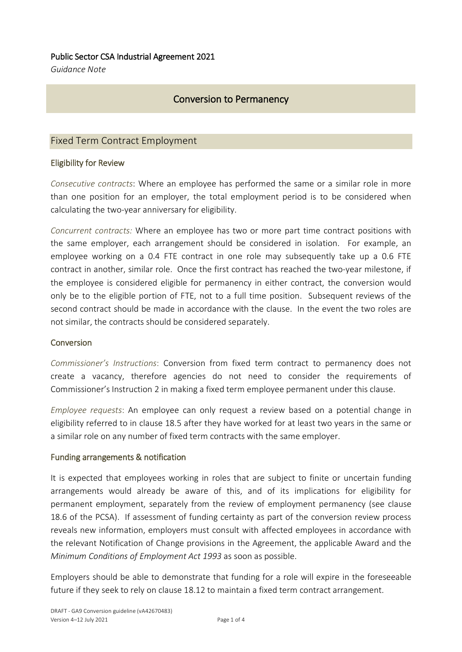## Public Sector CSA Industrial Agreement 2021

*Guidance Note*

# Conversion to Permanency

## Fixed Term Contract Employment

## Eligibility for Review

*Consecutive contracts*: Where an employee has performed the same or a similar role in more than one position for an employer, the total employment period is to be considered when calculating the two-year anniversary for eligibility.

*Concurrent contracts:* Where an employee has two or more part time contract positions with the same employer, each arrangement should be considered in isolation. For example, an employee working on a 0.4 FTE contract in one role may subsequently take up a 0.6 FTE contract in another, similar role. Once the first contract has reached the two-year milestone, if the employee is considered eligible for permanency in either contract, the conversion would only be to the eligible portion of FTE, not to a full time position. Subsequent reviews of the second contract should be made in accordance with the clause. In the event the two roles are not similar, the contracts should be considered separately.

#### **Conversion**

*Commissioner's Instructions*: Conversion from fixed term contract to permanency does not create a vacancy, therefore agencies do not need to consider the requirements of Commissioner's Instruction 2 in making a fixed term employee permanent under this clause.

*Employee requests*: An employee can only request a review based on a potential change in eligibility referred to in clause 18.5 after they have worked for at least two years in the same or a similar role on any number of fixed term contracts with the same employer.

#### Funding arrangements & notification

It is expected that employees working in roles that are subject to finite or uncertain funding arrangements would already be aware of this, and of its implications for eligibility for permanent employment, separately from the review of employment permanency (see clause 18.6 of the PCSA). If assessment of funding certainty as part of the conversion review process reveals new information, employers must consult with affected employees in accordance with the relevant Notification of Change provisions in the Agreement, the applicable Award and the *Minimum Conditions of Employment Act 1993* as soon as possible.

Employers should be able to demonstrate that funding for a role will expire in the foreseeable future if they seek to rely on clause 18.12 to maintain a fixed term contract arrangement.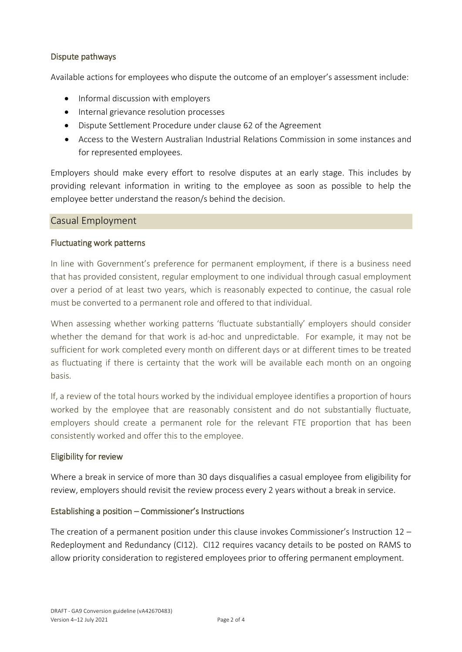## Dispute pathways

Available actions for employees who dispute the outcome of an employer's assessment include:

- Informal discussion with employers
- Internal grievance resolution processes
- Dispute Settlement Procedure under clause 62 of the Agreement
- Access to the Western Australian Industrial Relations Commission in some instances and for represented employees.

Employers should make every effort to resolve disputes at an early stage. This includes by providing relevant information in writing to the employee as soon as possible to help the employee better understand the reason/s behind the decision.

#### Casual Employment

#### Fluctuating work patterns

In line with Government's preference for permanent employment, if there is a business need that has provided consistent, regular employment to one individual through casual employment over a period of at least two years, which is reasonably expected to continue, the casual role must be converted to a permanent role and offered to that individual.

When assessing whether working patterns 'fluctuate substantially' employers should consider whether the demand for that work is ad-hoc and unpredictable. For example, it may not be sufficient for work completed every month on different days or at different times to be treated as fluctuating if there is certainty that the work will be available each month on an ongoing basis.

If, a review of the total hours worked by the individual employee identifies a proportion of hours worked by the employee that are reasonably consistent and do not substantially fluctuate, employers should create a permanent role for the relevant FTE proportion that has been consistently worked and offer this to the employee.

#### Eligibility for review

Where a break in service of more than 30 days disqualifies a casual employee from eligibility for review, employers should revisit the review process every 2 years without a break in service.

#### Establishing a position – Commissioner's Instructions

The creation of a permanent position under this clause invokes Commissioner's Instruction  $12 -$ Redeployment and Redundancy (CI12). CI12 requires vacancy details to be posted on RAMS to allow priority consideration to registered employees prior to offering permanent employment.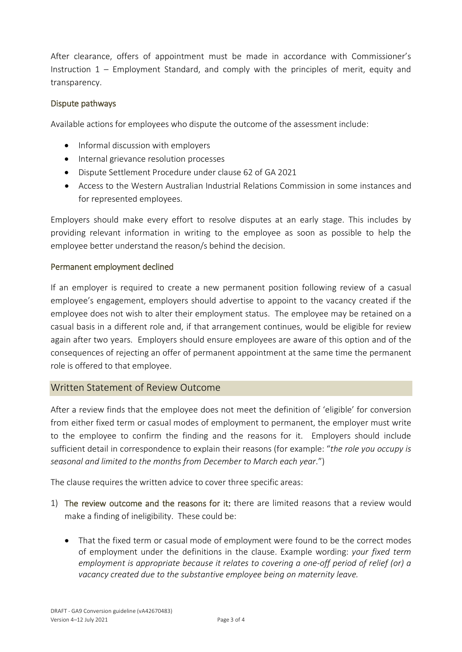After clearance, offers of appointment must be made in accordance with Commissioner's Instruction 1 – Employment Standard, and comply with the principles of merit, equity and transparency.

## Dispute pathways

Available actions for employees who dispute the outcome of the assessment include:

- Informal discussion with employers
- Internal grievance resolution processes
- Dispute Settlement Procedure under clause 62 of GA 2021
- Access to the Western Australian Industrial Relations Commission in some instances and for represented employees.

Employers should make every effort to resolve disputes at an early stage. This includes by providing relevant information in writing to the employee as soon as possible to help the employee better understand the reason/s behind the decision.

## Permanent employment declined

If an employer is required to create a new permanent position following review of a casual employee's engagement, employers should advertise to appoint to the vacancy created if the employee does not wish to alter their employment status. The employee may be retained on a casual basis in a different role and, if that arrangement continues, would be eligible for review again after two years. Employers should ensure employees are aware of this option and of the consequences of rejecting an offer of permanent appointment at the same time the permanent role is offered to that employee.

## Written Statement of Review Outcome

After a review finds that the employee does not meet the definition of 'eligible' for conversion from either fixed term or casual modes of employment to permanent, the employer must write to the employee to confirm the finding and the reasons for it. Employers should include sufficient detail in correspondence to explain their reasons (for example: "*the role you occupy is seasonal and limited to the months from December to March each year*.")

The clause requires the written advice to cover three specific areas:

- 1) The review outcome and the reasons for it: there are limited reasons that a review would make a finding of ineligibility. These could be:
	- That the fixed term or casual mode of employment were found to be the correct modes of employment under the definitions in the clause. Example wording: *your fixed term employment is appropriate because it relates to covering a one-off period of relief (or) a vacancy created due to the substantive employee being on maternity leave.*